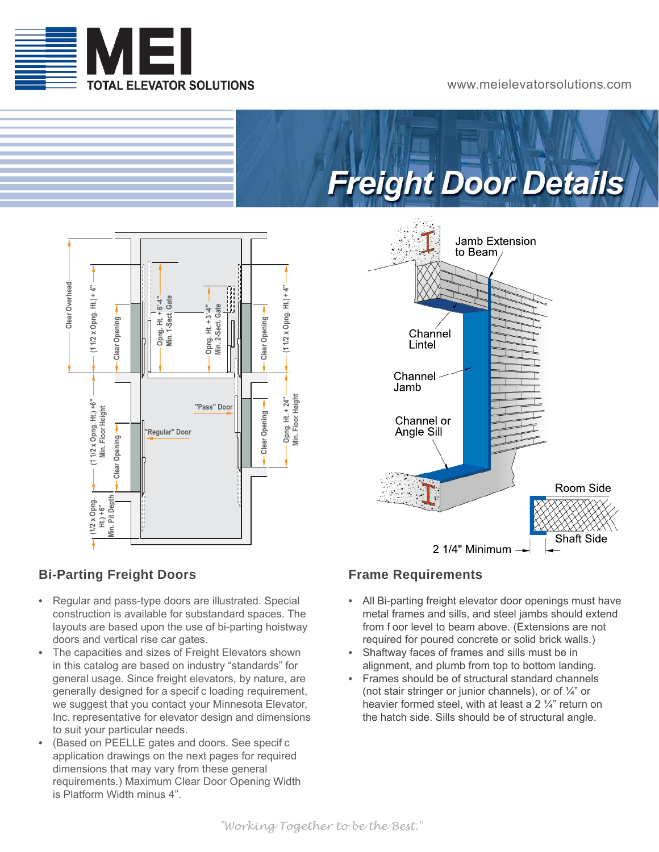

### www.meielevatorsolutions.com





### **Bi-Parting Freight Doors**

- **•** Regular and pass-type doors are illustrated. Special construction is available for substandard spaces. The layouts are based upon the use of bi-parting hoistway doors and vertical rise car gates.
- **•** The capacities and sizes of Freight Elevators shown in this catalog are based on industry "standards" for general usage. Since freight elevators, by nature, are generally designed for a specif c loading requirement, we suggest that you contact your Minnesota Elevator, Inc. representative for elevator design and dimensions to suit your particular needs.
- **•** (Based on PEELLE gates and doors. See specif c application drawings on the next pages for required dimensions that may vary from these general requirements.) Maximum Clear Door Opening Width is Platform Width minus 4".



### **Frame Requirements**

- **•** All Bi-parting freight elevator door openings must have metal frames and sills, and steel jambs should extend from f oor level to beam above. (Extensions are not required for poured concrete or solid brick walls.)
- **•** Shaftway faces of frames and sills must be in alignment, and plumb from top to bottom landing.
- **•** Frames should be of structural standard channels (not stair stringer or junior channels), or of ¼" or heavier formed steel, with at least a 2 ¼" return on the hatch side. Sills should be of structural angle.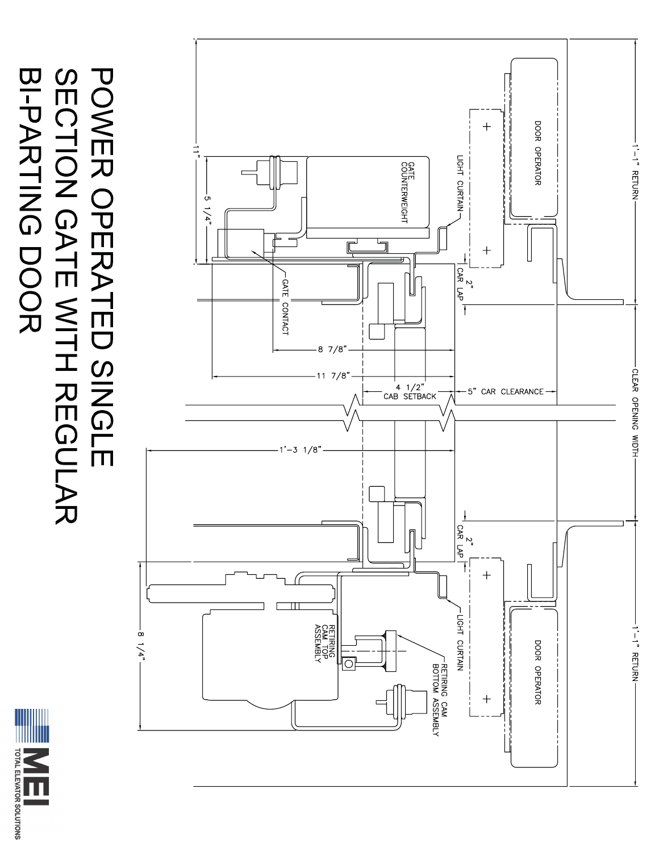

# **BI-PARTING DOOR** POWER OPERATED SINGLE<br>SECTION GATE WITH REGULAR

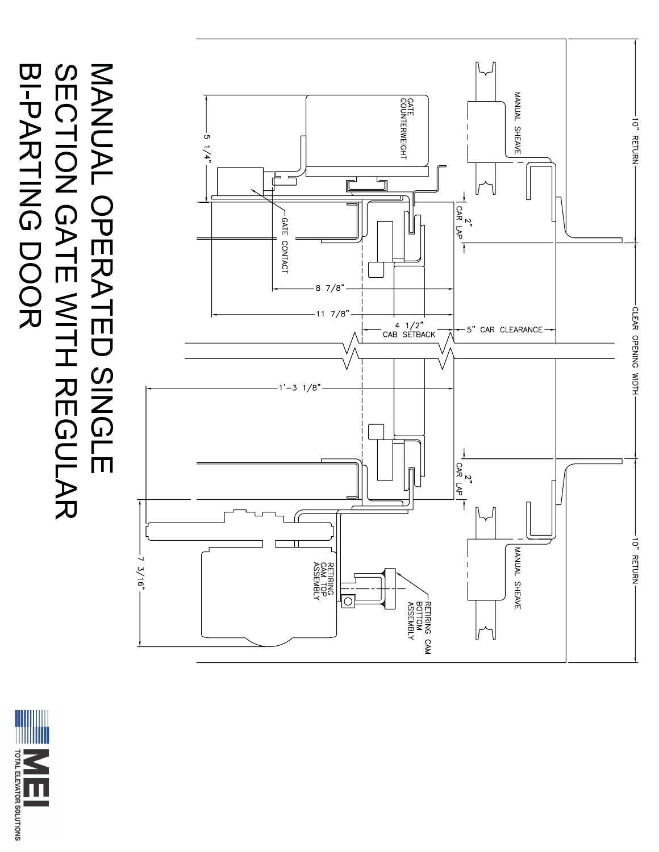

# MANUAL OPERATED SINGLE<br>SECTION GATE WITH REGULAR BI-PARTING<br>DOOR

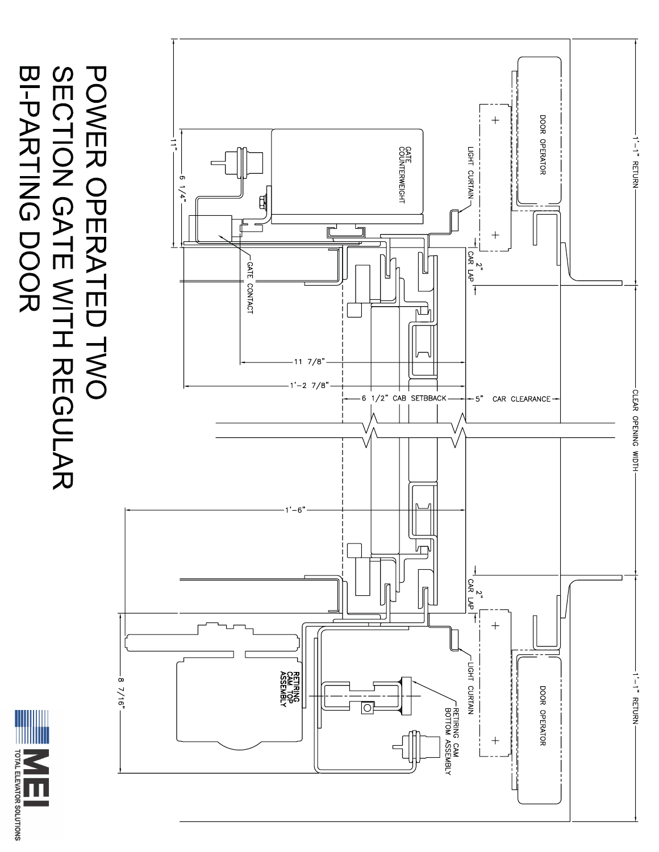

## POWER OPERATED TWO<br>SECTION GATE WITH REGULAR BI-PARTING DOOR

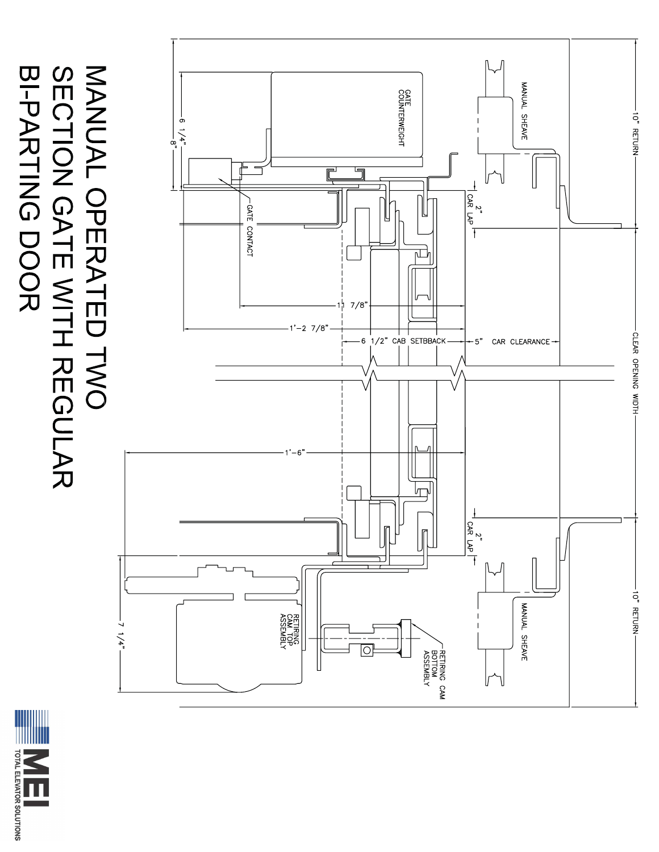

## MANUAL OPERATED TWO<br>SECTION GATE WITH REGULAR **BI-PARTING DOOR**

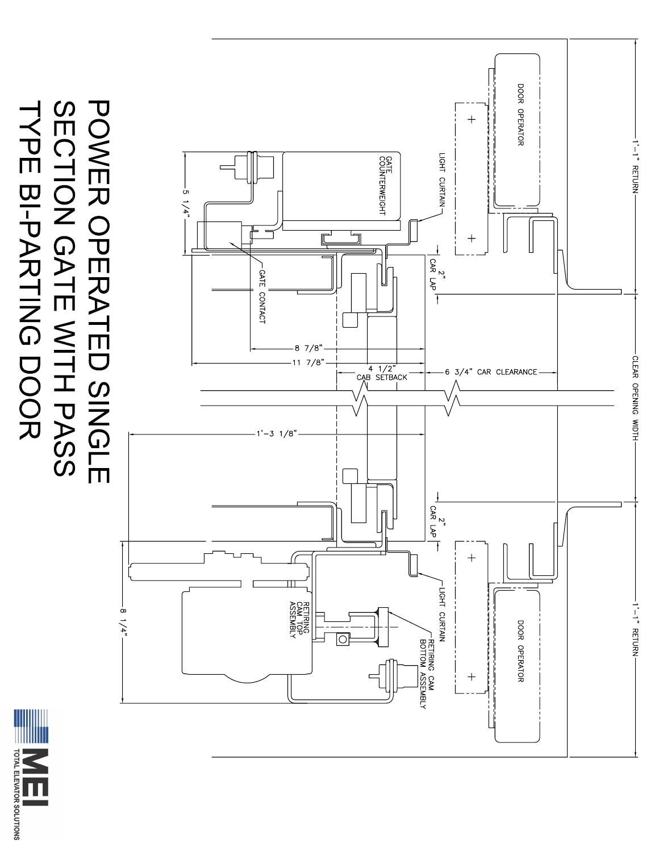

## POWER OPERATED SINGLE<br>SECTION GATE WITH PASS **TYPE BI-PARTING DOOR**

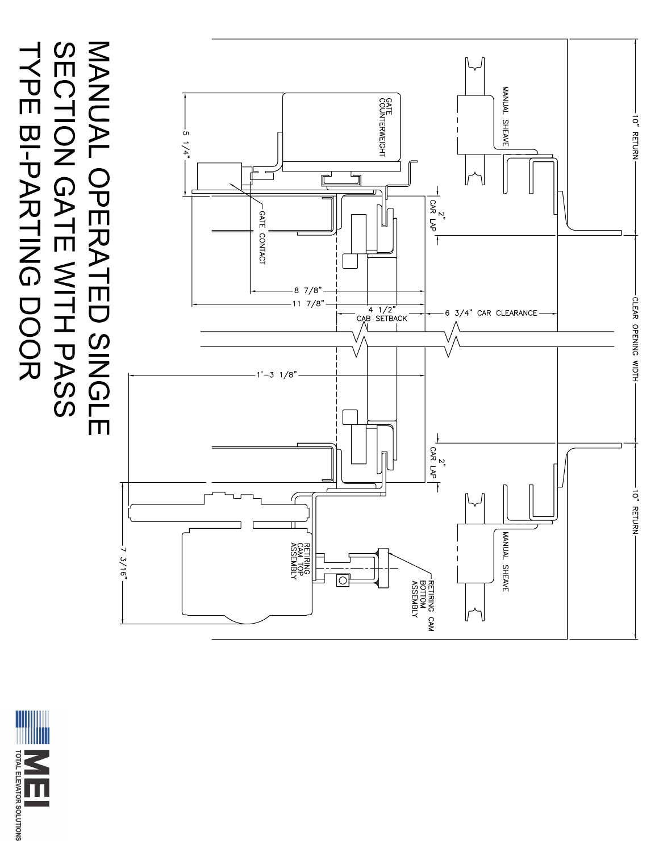

## MANUAL OPERATED SINGLE<br>SECTION GATE WITH PASS TYPE BI-PARTING DOOR

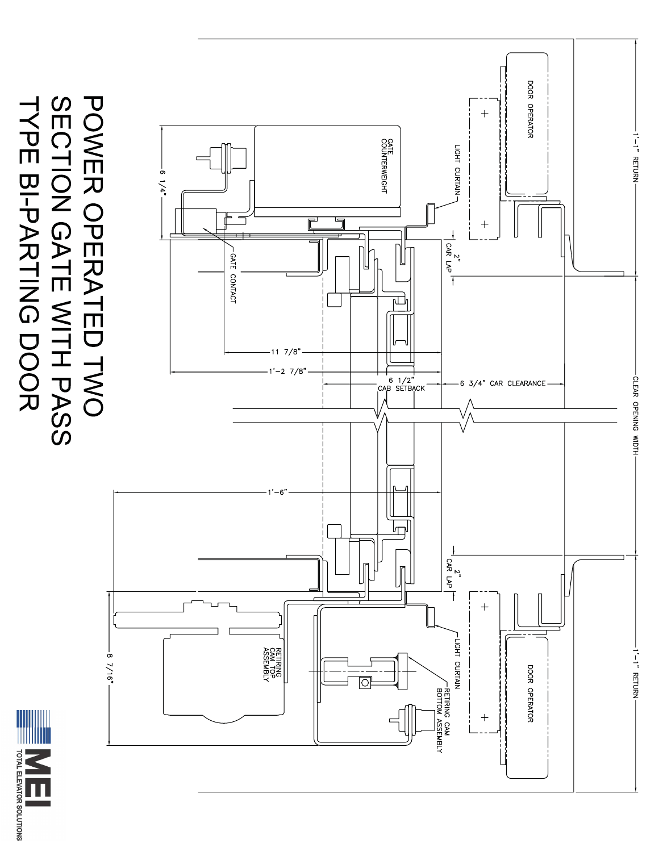

### POWER OPERATED TWO<br>SECTION GATE WITH PASS **TAPE BI-PARTING DOOR**